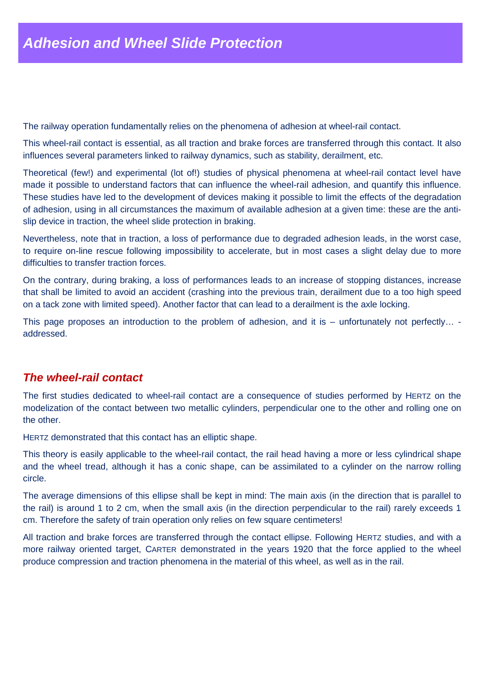The railway operation fundamentally relies on the phenomena of adhesion at wheel-rail contact.

This wheel-rail contact is essential, as all traction and brake forces are transferred through this contact. It also influences several parameters linked to railway dynamics, such as stability, derailment, etc.

Theoretical (few!) and experimental (lot of!) studies of physical phenomena at wheel-rail contact level have made it possible to understand factors that can influence the wheel-rail adhesion, and quantify this influence. These studies have led to the development of devices making it possible to limit the effects of the degradation of adhesion, using in all circumstances the maximum of available adhesion at a given time: these are the antislip device in traction, the wheel slide protection in braking.

Nevertheless, note that in traction, a loss of performance due to degraded adhesion leads, in the worst case, to require on-line rescue following impossibility to accelerate, but in most cases a slight delay due to more difficulties to transfer traction forces.

On the contrary, during braking, a loss of performances leads to an increase of stopping distances, increase that shall be limited to avoid an accident (crashing into the previous train, derailment due to a too high speed on a tack zone with limited speed). Another factor that can lead to a derailment is the axle locking.

This page proposes an introduction to the problem of adhesion, and it is – unfortunately not perfectly... addressed.

## **The wheel-rail contact**

The first studies dedicated to wheel-rail contact are a consequence of studies performed by HERTZ on the modelization of the contact between two metallic cylinders, perpendicular one to the other and rolling one on the other.

HERTZ demonstrated that this contact has an elliptic shape.

This theory is easily applicable to the wheel-rail contact, the rail head having a more or less cylindrical shape and the wheel tread, although it has a conic shape, can be assimilated to a cylinder on the narrow rolling circle.

The average dimensions of this ellipse shall be kept in mind: The main axis (in the direction that is parallel to the rail) is around 1 to 2 cm, when the small axis (in the direction perpendicular to the rail) rarely exceeds 1 cm. Therefore the safety of train operation only relies on few square centimeters!

All traction and brake forces are transferred through the contact ellipse. Following HERTZ studies, and with a more railway oriented target, CARTER demonstrated in the years 1920 that the force applied to the wheel produce compression and traction phenomena in the material of this wheel, as well as in the rail.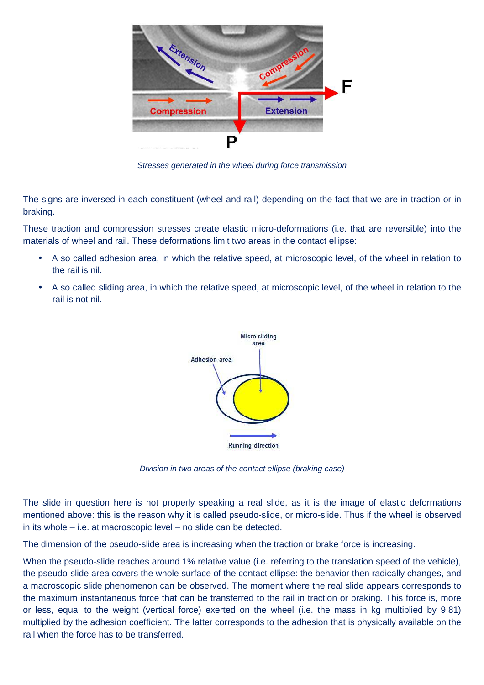

Stresses generated in the wheel during force transmission

The signs are inversed in each constituent (wheel and rail) depending on the fact that we are in traction or in braking.

These traction and compression stresses create elastic micro-deformations (i.e. that are reversible) into the materials of wheel and rail. These deformations limit two areas in the contact ellipse:

- A so called adhesion area, in which the relative speed, at microscopic level, of the wheel in relation to the rail is nil.
- A so called sliding area, in which the relative speed, at microscopic level, of the wheel in relation to the rail is not nil.



Division in two areas of the contact ellipse (braking case)

The slide in question here is not properly speaking a real slide, as it is the image of elastic deformations mentioned above: this is the reason why it is called pseudo-slide, or micro-slide. Thus if the wheel is observed in its whole – i.e. at macroscopic level – no slide can be detected.

The dimension of the pseudo-slide area is increasing when the traction or brake force is increasing.

When the pseudo-slide reaches around 1% relative value (i.e. referring to the translation speed of the vehicle), the pseudo-slide area covers the whole surface of the contact ellipse: the behavior then radically changes, and a macroscopic slide phenomenon can be observed. The moment where the real slide appears corresponds to the maximum instantaneous force that can be transferred to the rail in traction or braking. This force is, more or less, equal to the weight (vertical force) exerted on the wheel (i.e. the mass in kg multiplied by 9.81) multiplied by the adhesion coefficient. The latter corresponds to the adhesion that is physically available on the rail when the force has to be transferred.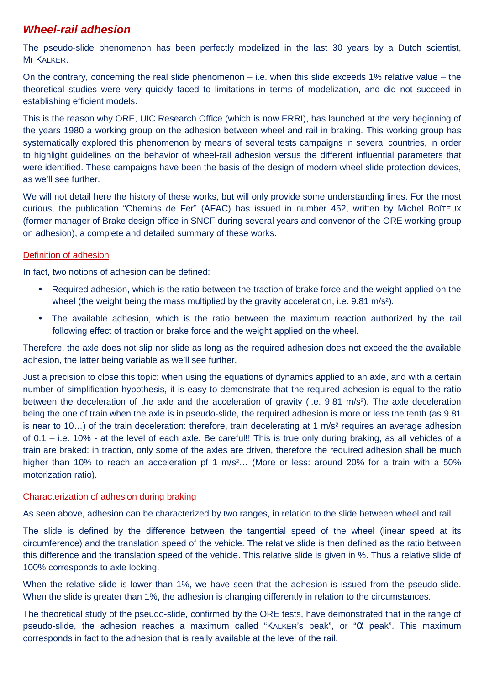# **Wheel-rail adhesion**

The pseudo-slide phenomenon has been perfectly modelized in the last 30 years by a Dutch scientist, Mr KALKER.

On the contrary, concerning the real slide phenomenon  $-$  i.e. when this slide exceeds 1% relative value  $-$  the theoretical studies were very quickly faced to limitations in terms of modelization, and did not succeed in establishing efficient models.

This is the reason why ORE, UIC Research Office (which is now ERRI), has launched at the very beginning of the years 1980 a working group on the adhesion between wheel and rail in braking. This working group has systematically explored this phenomenon by means of several tests campaigns in several countries, in order to highlight guidelines on the behavior of wheel-rail adhesion versus the different influential parameters that were identified. These campaigns have been the basis of the design of modern wheel slide protection devices, as we'll see further.

We will not detail here the history of these works, but will only provide some understanding lines. For the most curious, the publication "Chemins de Fer" (AFAC) has issued in number 452, written by Michel BOÎTEUX (former manager of Brake design office in SNCF during several years and convenor of the ORE working group on adhesion), a complete and detailed summary of these works.

## Definition of adhesion

In fact, two notions of adhesion can be defined:

- Required adhesion, which is the ratio between the traction of brake force and the weight applied on the wheel (the weight being the mass multiplied by the gravity acceleration, i.e. 9.81 m/s<sup>2</sup>).
- The available adhesion, which is the ratio between the maximum reaction authorized by the rail following effect of traction or brake force and the weight applied on the wheel.

Therefore, the axle does not slip nor slide as long as the required adhesion does not exceed the the available adhesion, the latter being variable as we'll see further.

Just a precision to close this topic: when using the equations of dynamics applied to an axle, and with a certain number of simplification hypothesis, it is easy to demonstrate that the required adhesion is equal to the ratio between the deceleration of the axle and the acceleration of gravity (i.e. 9.81 m/s²). The axle deceleration being the one of train when the axle is in pseudo-slide, the required adhesion is more or less the tenth (as 9.81 is near to 10...) of the train deceleration: therefore, train decelerating at 1 m/s<sup>2</sup> requires an average adhesion of 0.1 – i.e. 10% - at the level of each axle. Be careful!! This is true only during braking, as all vehicles of a train are braked: in traction, only some of the axles are driven, therefore the required adhesion shall be much higher than 10% to reach an acceleration pf 1 m/s<sup>2</sup>... (More or less: around 20% for a train with a 50% motorization ratio).

## Characterization of adhesion during braking

As seen above, adhesion can be characterized by two ranges, in relation to the slide between wheel and rail.

The slide is defined by the difference between the tangential speed of the wheel (linear speed at its circumference) and the translation speed of the vehicle. The relative slide is then defined as the ratio between this difference and the translation speed of the vehicle. This relative slide is given in %. Thus a relative slide of 100% corresponds to axle locking.

When the relative slide is lower than 1%, we have seen that the adhesion is issued from the pseudo-slide. When the slide is greater than 1%, the adhesion is changing differently in relation to the circumstances.

The theoretical study of the pseudo-slide, confirmed by the ORE tests, have demonstrated that in the range of pseudo-slide, the adhesion reaches a maximum called "KALKER's peak", or "α peak". This maximum corresponds in fact to the adhesion that is really available at the level of the rail.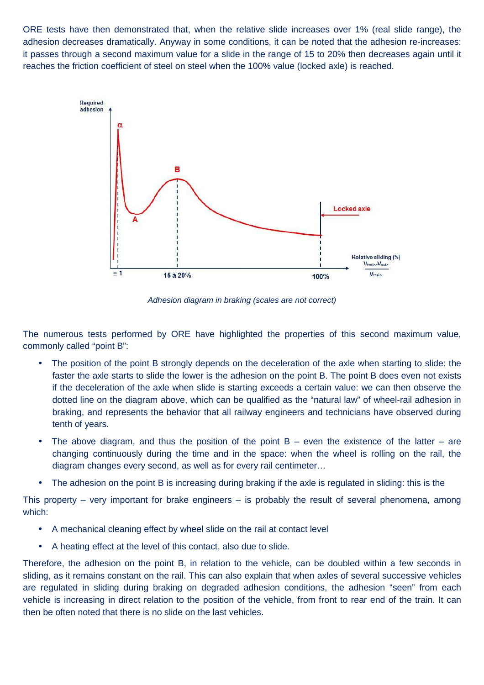ORE tests have then demonstrated that, when the relative slide increases over 1% (real slide range), the adhesion decreases dramatically. Anyway in some conditions, it can be noted that the adhesion re-increases: it passes through a second maximum value for a slide in the range of 15 to 20% then decreases again until it reaches the friction coefficient of steel on steel when the 100% value (locked axle) is reached.



Adhesion diagram in braking (scales are not correct)

The numerous tests performed by ORE have highlighted the properties of this second maximum value, commonly called "point B":

- The position of the point B strongly depends on the deceleration of the axle when starting to slide: the faster the axle starts to slide the lower is the adhesion on the point B. The point B does even not exists if the deceleration of the axle when slide is starting exceeds a certain value: we can then observe the dotted line on the diagram above, which can be qualified as the "natural law" of wheel-rail adhesion in braking, and represents the behavior that all railway engineers and technicians have observed during tenth of years.
- The above diagram, and thus the position of the point  $B e$ ven the existence of the latter are changing continuously during the time and in the space: when the wheel is rolling on the rail, the diagram changes every second, as well as for every rail centimeter…
- The adhesion on the point B is increasing during braking if the axle is regulated in sliding: this is the

This property – very important for brake engineers – is probably the result of several phenomena, among which:

- A mechanical cleaning effect by wheel slide on the rail at contact level
- A heating effect at the level of this contact, also due to slide.

Therefore, the adhesion on the point B, in relation to the vehicle, can be doubled within a few seconds in sliding, as it remains constant on the rail. This can also explain that when axles of several successive vehicles are regulated in sliding during braking on degraded adhesion conditions, the adhesion "seen" from each vehicle is increasing in direct relation to the position of the vehicle, from front to rear end of the train. It can then be often noted that there is no slide on the last vehicles.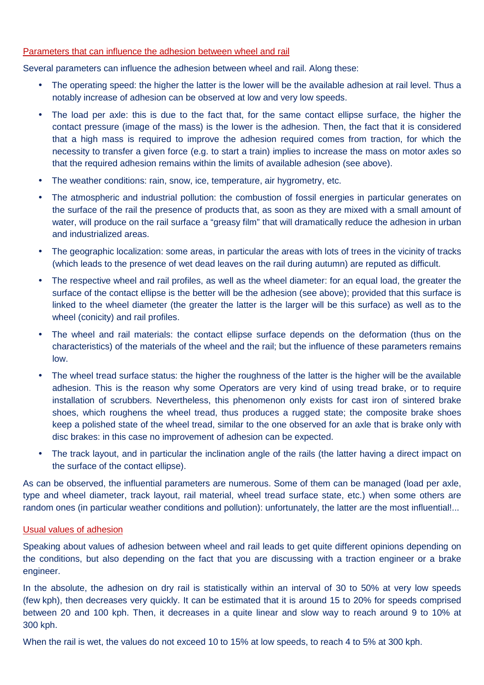#### Parameters that can influence the adhesion between wheel and rail

Several parameters can influence the adhesion between wheel and rail. Along these:

- The operating speed: the higher the latter is the lower will be the available adhesion at rail level. Thus a notably increase of adhesion can be observed at low and very low speeds.
- The load per axle: this is due to the fact that, for the same contact ellipse surface, the higher the contact pressure (image of the mass) is the lower is the adhesion. Then, the fact that it is considered that a high mass is required to improve the adhesion required comes from traction, for which the necessity to transfer a given force (e.g. to start a train) implies to increase the mass on motor axles so that the required adhesion remains within the limits of available adhesion (see above).
- The weather conditions: rain, snow, ice, temperature, air hygrometry, etc.
- The atmospheric and industrial pollution: the combustion of fossil energies in particular generates on the surface of the rail the presence of products that, as soon as they are mixed with a small amount of water, will produce on the rail surface a "greasy film" that will dramatically reduce the adhesion in urban and industrialized areas.
- The geographic localization: some areas, in particular the areas with lots of trees in the vicinity of tracks (which leads to the presence of wet dead leaves on the rail during autumn) are reputed as difficult.
- The respective wheel and rail profiles, as well as the wheel diameter: for an equal load, the greater the surface of the contact ellipse is the better will be the adhesion (see above); provided that this surface is linked to the wheel diameter (the greater the latter is the larger will be this surface) as well as to the wheel (conicity) and rail profiles.
- The wheel and rail materials: the contact ellipse surface depends on the deformation (thus on the characteristics) of the materials of the wheel and the rail; but the influence of these parameters remains low.
- The wheel tread surface status: the higher the roughness of the latter is the higher will be the available adhesion. This is the reason why some Operators are very kind of using tread brake, or to require installation of scrubbers. Nevertheless, this phenomenon only exists for cast iron of sintered brake shoes, which roughens the wheel tread, thus produces a rugged state; the composite brake shoes keep a polished state of the wheel tread, similar to the one observed for an axle that is brake only with disc brakes: in this case no improvement of adhesion can be expected.
- The track layout, and in particular the inclination angle of the rails (the latter haying a direct impact on the surface of the contact ellipse).

As can be observed, the influential parameters are numerous. Some of them can be managed (load per axle, type and wheel diameter, track layout, rail material, wheel tread surface state, etc.) when some others are random ones (in particular weather conditions and pollution): unfortunately, the latter are the most influential!...

## Usual values of adhesion

Speaking about values of adhesion between wheel and rail leads to get quite different opinions depending on the conditions, but also depending on the fact that you are discussing with a traction engineer or a brake engineer.

In the absolute, the adhesion on dry rail is statistically within an interval of 30 to 50% at very low speeds (few kph), then decreases very quickly. It can be estimated that it is around 15 to 20% for speeds comprised between 20 and 100 kph. Then, it decreases in a quite linear and slow way to reach around 9 to 10% at 300 kph.

When the rail is wet, the values do not exceed 10 to 15% at low speeds, to reach 4 to 5% at 300 kph.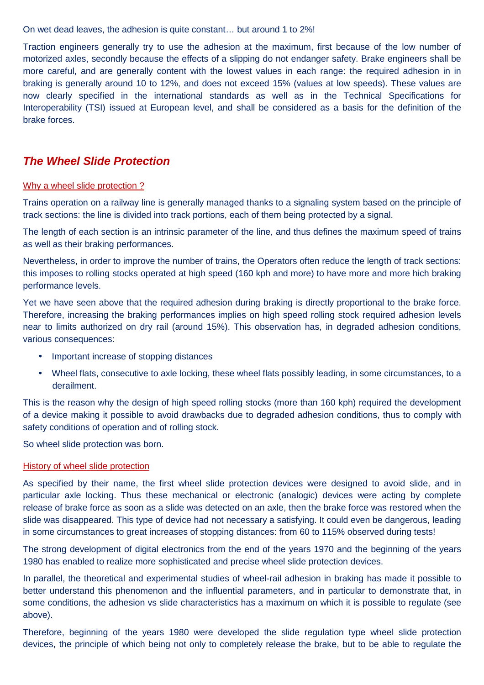On wet dead leaves, the adhesion is quite constant… but around 1 to 2%!

Traction engineers generally try to use the adhesion at the maximum, first because of the low number of motorized axles, secondly because the effects of a slipping do not endanger safety. Brake engineers shall be more careful, and are generally content with the lowest values in each range: the required adhesion in in braking is generally around 10 to 12%, and does not exceed 15% (values at low speeds). These values are now clearly specified in the international standards as well as in the Technical Specifications for Interoperability (TSI) issued at European level, and shall be considered as a basis for the definition of the brake forces.

## **The Wheel Slide Protection**

#### Why a wheel slide protection ?

Trains operation on a railway line is generally managed thanks to a signaling system based on the principle of track sections: the line is divided into track portions, each of them being protected by a signal.

The length of each section is an intrinsic parameter of the line, and thus defines the maximum speed of trains as well as their braking performances.

Nevertheless, in order to improve the number of trains, the Operators often reduce the length of track sections: this imposes to rolling stocks operated at high speed (160 kph and more) to have more and more hich braking performance levels.

Yet we have seen above that the required adhesion during braking is directly proportional to the brake force. Therefore, increasing the braking performances implies on high speed rolling stock required adhesion levels near to limits authorized on dry rail (around 15%). This observation has, in degraded adhesion conditions, various consequences:

- Important increase of stopping distances
- Wheel flats, consecutive to axle locking, these wheel flats possibly leading, in some circumstances, to a derailment.

This is the reason why the design of high speed rolling stocks (more than 160 kph) required the development of a device making it possible to avoid drawbacks due to degraded adhesion conditions, thus to comply with safety conditions of operation and of rolling stock.

So wheel slide protection was born.

## History of wheel slide protection

As specified by their name, the first wheel slide protection devices were designed to avoid slide, and in particular axle locking. Thus these mechanical or electronic (analogic) devices were acting by complete release of brake force as soon as a slide was detected on an axle, then the brake force was restored when the slide was disappeared. This type of device had not necessary a satisfying. It could even be dangerous, leading in some circumstances to great increases of stopping distances: from 60 to 115% observed during tests!

The strong development of digital electronics from the end of the years 1970 and the beginning of the years 1980 has enabled to realize more sophisticated and precise wheel slide protection devices.

In parallel, the theoretical and experimental studies of wheel-rail adhesion in braking has made it possible to better understand this phenomenon and the influential parameters, and in particular to demonstrate that, in some conditions, the adhesion vs slide characteristics has a maximum on which it is possible to regulate (see above).

Therefore, beginning of the years 1980 were developed the slide regulation type wheel slide protection devices, the principle of which being not only to completely release the brake, but to be able to regulate the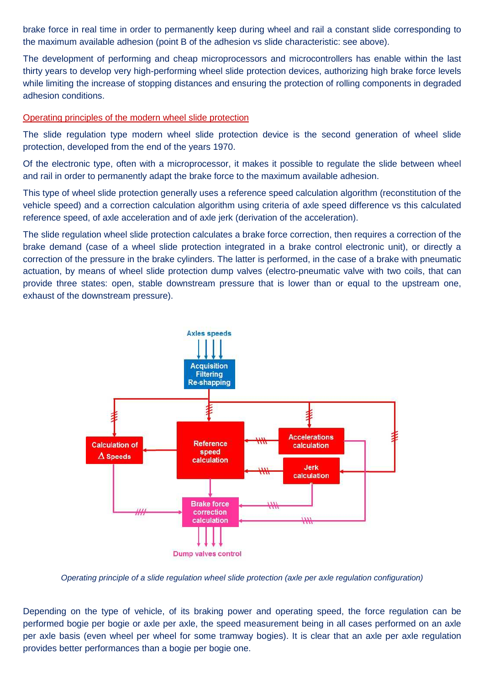brake force in real time in order to permanently keep during wheel and rail a constant slide corresponding to the maximum available adhesion (point B of the adhesion vs slide characteristic: see above).

The development of performing and cheap microprocessors and microcontrollers has enable within the last thirty years to develop very high-performing wheel slide protection devices, authorizing high brake force levels while limiting the increase of stopping distances and ensuring the protection of rolling components in degraded adhesion conditions.

#### Operating principles of the modern wheel slide protection

The slide regulation type modern wheel slide protection device is the second generation of wheel slide protection, developed from the end of the years 1970.

Of the electronic type, often with a microprocessor, it makes it possible to regulate the slide between wheel and rail in order to permanently adapt the brake force to the maximum available adhesion.

This type of wheel slide protection generally uses a reference speed calculation algorithm (reconstitution of the vehicle speed) and a correction calculation algorithm using criteria of axle speed difference vs this calculated reference speed, of axle acceleration and of axle jerk (derivation of the acceleration).

The slide regulation wheel slide protection calculates a brake force correction, then requires a correction of the brake demand (case of a wheel slide protection integrated in a brake control electronic unit), or directly a correction of the pressure in the brake cylinders. The latter is performed, in the case of a brake with pneumatic actuation, by means of wheel slide protection dump valves (electro-pneumatic valve with two coils, that can provide three states: open, stable downstream pressure that is lower than or equal to the upstream one, exhaust of the downstream pressure).



Operating principle of a slide regulation wheel slide protection (axle per axle regulation configuration)

Depending on the type of vehicle, of its braking power and operating speed, the force regulation can be performed bogie per bogie or axle per axle, the speed measurement being in all cases performed on an axle per axle basis (even wheel per wheel for some tramway bogies). It is clear that an axle per axle regulation provides better performances than a bogie per bogie one.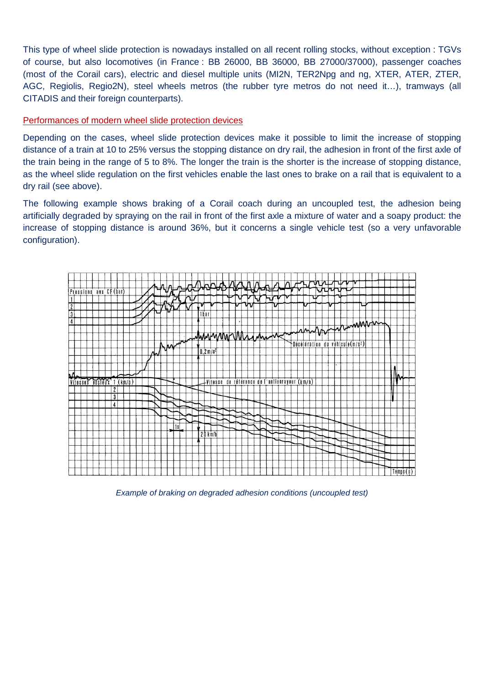This type of wheel slide protection is nowadays installed on all recent rolling stocks, without exception : TGVs of course, but also locomotives (in France : BB 26000, BB 36000, BB 27000/37000), passenger coaches (most of the Corail cars), electric and diesel multiple units (MI2N, TER2Npg and ng, XTER, ATER, ZTER, AGC, Regiolis, Regio2N), steel wheels metros (the rubber tyre metros do not need it…), tramways (all CITADIS and their foreign counterparts).

## Performances of modern wheel slide protection devices

Depending on the cases, wheel slide protection devices make it possible to limit the increase of stopping distance of a train at 10 to 25% versus the stopping distance on dry rail, the adhesion in front of the first axle of the train being in the range of 5 to 8%. The longer the train is the shorter is the increase of stopping distance, as the wheel slide regulation on the first vehicles enable the last ones to brake on a rail that is equivalent to a dry rail (see above).

The following example shows braking of a Corail coach during an uncoupled test, the adhesion being artificially degraded by spraying on the rail in front of the first axle a mixture of water and a soapy product: the increase of stopping distance is around 36%, but it concerns a single vehicle test (so a very unfavorable configuration).



Example of braking on degraded adhesion conditions (uncoupled test)